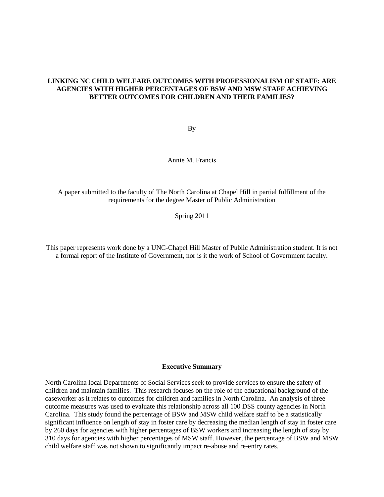### **LINKING NC CHILD WELFARE OUTCOMES WITH PROFESSIONALISM OF STAFF: ARE AGENCIES WITH HIGHER PERCENTAGES OF BSW AND MSW STAFF ACHIEVING BETTER OUTCOMES FOR CHILDREN AND THEIR FAMILIES?**

By

Annie M. Francis

A paper submitted to the faculty of The North Carolina at Chapel Hill in partial fulfillment of the requirements for the degree Master of Public Administration

Spring 2011

This paper represents work done by a UNC-Chapel Hill Master of Public Administration student. It is not a formal report of the Institute of Government, nor is it the work of School of Government faculty.

#### **Executive Summary**

North Carolina local Departments of Social Services seek to provide services to ensure the safety of children and maintain families. This research focuses on the role of the educational background of the caseworker as it relates to outcomes for children and families in North Carolina. An analysis of three outcome measures was used to evaluate this relationship across all 100 DSS county agencies in North Carolina. This study found the percentage of BSW and MSW child welfare staff to be a statistically significant influence on length of stay in foster care by decreasing the median length of stay in foster care by 260 days for agencies with higher percentages of BSW workers and increasing the length of stay by 310 days for agencies with higher percentages of MSW staff. However, the percentage of BSW and MSW child welfare staff was not shown to significantly impact re-abuse and re-entry rates.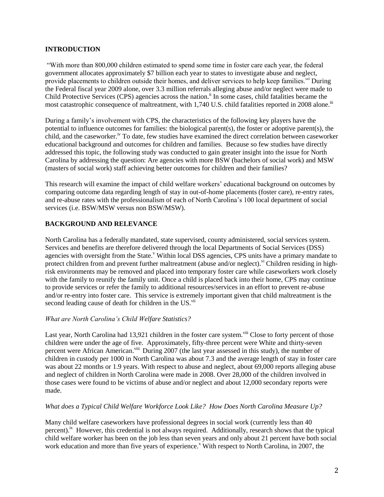### **INTRODUCTION**

"With more than 800,000 children estimated to spend some time in foster care each year, the federal government allocates approximately \$7 billion each year to states to investigate abuse and neglect, provide placements to children outside their homes, and deliver services to help keep families."<sup>i</sup> During the Federal fiscal year 2009 alone, over 3.3 million referrals alleging abuse and/or neglect were made to Child Protective Services (CPS) agencies across the nation.<sup>ii</sup> In some cases, child fatalities became the most catastrophic consequence of maltreatment, with 1,740 U.S. child fatalities reported in 2008 alone.<sup>iii</sup>

During a family's involvement with CPS, the characteristics of the following key players have the potential to influence outcomes for families: the biological parent(s), the foster or adoptive parent(s), the child, and the caseworker.<sup>iv</sup> To date, few studies have examined the direct correlation between caseworker educational background and outcomes for children and families. Because so few studies have directly addressed this topic, the following study was conducted to gain greater insight into the issue for North Carolina by addressing the question: Are agencies with more BSW (bachelors of social work) and MSW (masters of social work) staff achieving better outcomes for children and their families?

This research will examine the impact of child welfare workers' educational background on outcomes by comparing outcome data regarding length of stay in out-of-home placements (foster care), re-entry rates, and re-abuse rates with the professionalism of each of North Carolina's 100 local department of social services (i.e. BSW/MSW versus non BSW/MSW).

## **BACKGROUND AND RELEVANCE**

North Carolina has a federally mandated, state supervised, county administered, social services system. Services and benefits are therefore delivered through the local Departments of Social Services (DSS) agencies with oversight from the State.<sup>v</sup> Within local DSS agencies, CPS units have a primary mandate to protect children from and prevent further maltreatment (abuse and/or neglect).<sup>vi</sup> Children residing in highrisk environments may be removed and placed into temporary foster care while caseworkers work closely with the family to reunify the family unit. Once a child is placed back into their home, CPS may continue to provide services or refer the family to additional resources/services in an effort to prevent re-abuse and/or re-entry into foster care. This service is extremely important given that child maltreatment is the second leading cause of death for children in the US.<sup>vii</sup>

### *What are North Carolina's Child Welfare Statistics?*

Last year, North Carolina had 13,921 children in the foster care system.<sup>viii</sup> Close to forty percent of those children were under the age of five. Approximately, fifty-three percent were White and thirty-seven percent were African American.<sup>viii</sup> During 2007 (the last year assessed in this study), the number of children in custody per 1000 in North Carolina was about 7.3 and the average length of stay in foster care was about 22 months or 1.9 years. With respect to abuse and neglect, about 69,000 reports alleging abuse and neglect of children in North Carolina were made in 2008. Over 28,000 of the children involved in those cases were found to be victims of abuse and/or neglect and about 12,000 secondary reports were made.

### *What does a Typical Child Welfare Workforce Look Like? How Does North Carolina Measure Up?*

Many child welfare caseworkers have professional degrees in social work (currently less than 40 percent).<sup>ix</sup> However, this credential is not always required. Additionally, research shows that the typical child welfare worker has been on the job less than seven years and only about 21 percent have both social work education and more than five years of experience.<sup>x</sup> With respect to North Carolina, in 2007, the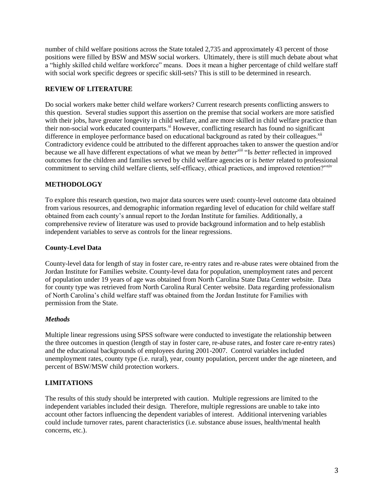number of child welfare positions across the State totaled 2,735 and approximately 43 percent of those positions were filled by BSW and MSW social workers. Ultimately, there is still much debate about what a "highly skilled child welfare workforce" means. Does it mean a higher percentage of child welfare staff with social work specific degrees or specific skill-sets? This is still to be determined in research.

### **REVIEW OF LITERATURE**

Do social workers make better child welfare workers? Current research presents conflicting answers to this question. Several studies support this assertion on the premise that social workers are more satisfied with their jobs, have greater longevity in child welfare, and are more skilled in child welfare practice than their non-social work educated counterparts.<sup>xi</sup> However, conflicting research has found no significant difference in employee performance based on educational background as rated by their colleagues.<sup>xii</sup> Contradictory evidence could be attributed to the different approaches taken to answer the question and/or because we all have different expectations of what we mean by *betterxiii* "Is *better* reflected in improved outcomes for the children and families served by child welfare agencies or is *better* related to professional commitment to serving child welfare clients, self-efficacy, ethical practices, and improved retention?"xiv

### **METHODOLOGY**

To explore this research question, two major data sources were used: county-level outcome data obtained from various resources, and demographic information regarding level of education for child welfare staff obtained from each county's annual report to the Jordan Institute for families. Additionally, a comprehensive review of literature was used to provide background information and to help establish independent variables to serve as controls for the linear regressions.

### **County-Level Data**

County-level data for length of stay in foster care, re-entry rates and re-abuse rates were obtained from the Jordan Institute for Families website. County-level data for population, unemployment rates and percent of population under 19 years of age was obtained from North Carolina State Data Center website. Data for county type was retrieved from North Carolina Rural Center website. Data regarding professionalism of North Carolina's child welfare staff was obtained from the Jordan Institute for Families with permission from the State.

### *Methods*

Multiple linear regressions using SPSS software were conducted to investigate the relationship between the three outcomes in question (length of stay in foster care, re-abuse rates, and foster care re-entry rates) and the educational backgrounds of employees during 2001-2007. Control variables included unemployment rates, county type (i.e. rural), year, county population, percent under the age nineteen, and percent of BSW/MSW child protection workers.

## **LIMITATIONS**

The results of this study should be interpreted with caution. Multiple regressions are limited to the independent variables included their design. Therefore, multiple regressions are unable to take into account other factors influencing the dependent variables of interest. Additional intervening variables could include turnover rates, parent characteristics (i.e. substance abuse issues, health/mental health concerns, etc.).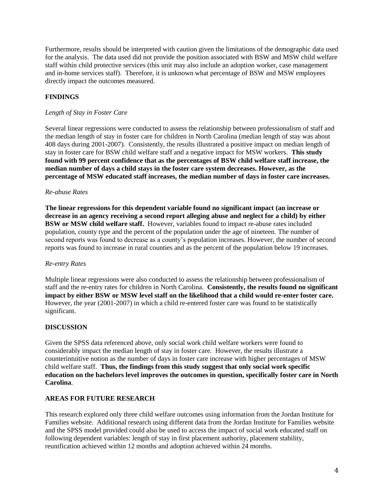Furthermore, results should be interpreted with caution given the limitations of the demographic data used for the analysis. The data used did not provide the position associated with BSW and MSW child welfare staff within child protective services (this unit may also include an adoption worker, case management and in-home services staff). Therefore, it is unknown what percentage of BSW and MSW employees directly impact the outcomes measured.

# **FINDINGS**

### *Length of Stay in Foster Care*

Several linear regressions were conducted to assess the relationship between professionalism of staff and the median length of stay in foster care for children in North Carolina (median length of stay was about 408 days during 2001-2007). Consistently, the results illustrated a positive impact on median length of stay in foster care for BSW child welfare staff and a negative impact for MSW workers. **This study found with 99 percent confidence that as the percentages of BSW child welfare staff increase, the median number of days a child stays in the foster care system decreases. However, as the percentage of MSW educated staff increases, the median number of days in foster care increases.**

### *Re-abuse Rates*

**The linear regressions for this dependent variable found no significant impact (an increase or decrease in an agency receiving a second report alleging abuse and neglect for a child) by either BSW or MSW child welfare staff.** However, variables found to impact re-abuse rates included population, county type and the percent of the population under the age of nineteen. The number of second reports was found to decrease as a county's population increases. However, the number of second reports was found to increase in rural counties and as the percent of the population below 19 increases.

### *Re-entry Rates*

Multiple linear regressions were also conducted to assess the relationship between professionalism of staff and the re-entry rates for children in North Carolina. **Consistently, the results found no significant impact by either BSW or MSW level staff on the likelihood that a child would re-enter foster care.** However, the year (2001-2007) in which a child re-entered foster care was found to be statistically significant.

### **DISCUSSION**

Given the SPSS data referenced above, only social work child welfare workers were found to considerably impact the median length of stay in foster care. However, the results illustrate a counterintuitive notion as the number of days in foster care increase with higher percentages of MSW child welfare staff. **Thus, the findings from this study suggest that only social work specific education on the bachelors level improves the outcomes in question, specifically foster care in North Carolina**.

### **AREAS FOR FUTURE RESEARCH**

This research explored only three child welfare outcomes using information from the Jordan Institute for Families website. Additional research using different data from the Jordan Institute for Families website and the SPSS model provided could also be used to access the impact of social work educated staff on following dependent variables: length of stay in first placement authority, placement stability, reunification achieved within 12 months and adoption achieved within 24 months.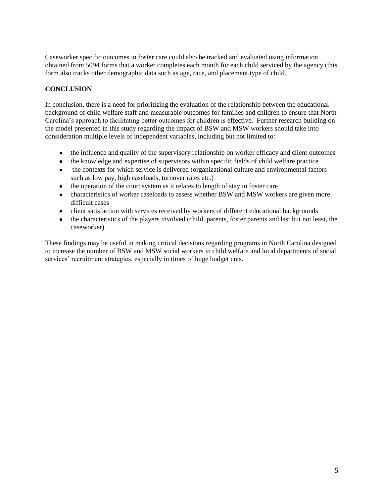Caseworker specific outcomes in foster care could also be tracked and evaluated using information obtained from 5094 forms that a worker completes each month for each child serviced by the agency (this form also tracks other demographic data such as age, race, and placement type of child.

### **CONCLUSION**

In conclusion, there is a need for prioritizing the evaluation of the relationship between the educational background of child welfare staff and measurable outcomes for families and children to ensure that North Carolina's approach to facilitating better outcomes for children is effective. Further research building on the model presented in this study regarding the impact of BSW and MSW workers should take into consideration multiple levels of independent variables, including but not limited to:

- the influence and quality of the supervisory relationship on worker efficacy and client outcomes
- the knowledge and expertise of supervisors within specific fields of child welfare practice
- the contexts for which service is delivered (organizational culture and environmental factors such as low pay, high caseloads, turnover rates etc.)
- the operation of the court system as it relates to length of stay in foster care
- characteristics of worker caseloads to assess whether BSW and MSW workers are given more difficult cases
- client satisfaction with services received by workers of different educational backgrounds
- the characteristics of the players involved (child, parents, foster parents and last but not least, the caseworker).

These findings may be useful in making critical decisions regarding programs in North Carolina designed to increase the number of BSW and MSW social workers in child welfare and local departments of social services' recruitment strategies, especially in times of huge budget cuts.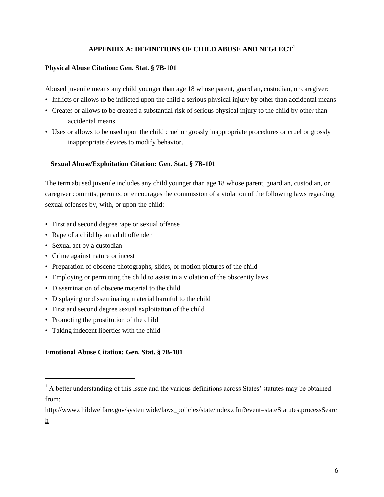## **APPENDIX A: DEFINITIONS OF CHILD ABUSE AND NEGLECT**<sup>1</sup>

### **Physical Abuse Citation: Gen. Stat. § 7B-101**

Abused juvenile means any child younger than age 18 whose parent, guardian, custodian, or caregiver:

- Inflicts or allows to be inflicted upon the child a serious physical injury by other than accidental means
- Creates or allows to be created a substantial risk of serious physical injury to the child by other than accidental means
- Uses or allows to be used upon the child cruel or grossly inappropriate procedures or cruel or grossly inappropriate devices to modify behavior.

## **Sexual Abuse/Exploitation Citation: Gen. Stat. § 7B-101**

The term abused juvenile includes any child younger than age 18 whose parent, guardian, custodian, or caregiver commits, permits, or encourages the commission of a violation of the following laws regarding sexual offenses by, with, or upon the child:

- First and second degree rape or sexual offense
- Rape of a child by an adult offender
- Sexual act by a custodian

 $\overline{a}$ 

- Crime against nature or incest
- Preparation of obscene photographs, slides, or motion pictures of the child
- Employing or permitting the child to assist in a violation of the obscenity laws
- Dissemination of obscene material to the child
- Displaying or disseminating material harmful to the child
- First and second degree sexual exploitation of the child
- Promoting the prostitution of the child
- Taking indecent liberties with the child

## **Emotional Abuse Citation: Gen. Stat. § 7B-101**

[http://www.childwelfare.gov/systemwide/laws\\_policies/state/index.cfm?event=stateStatutes.processSearc](http://www.childwelfare.gov/systemwide/laws_policies/state/index.cfm?event=stateStatutes.processSearch) [h](http://www.childwelfare.gov/systemwide/laws_policies/state/index.cfm?event=stateStatutes.processSearch)

 $<sup>1</sup>$  A better understanding of this issue and the various definitions across States' statutes may be obtained</sup> from: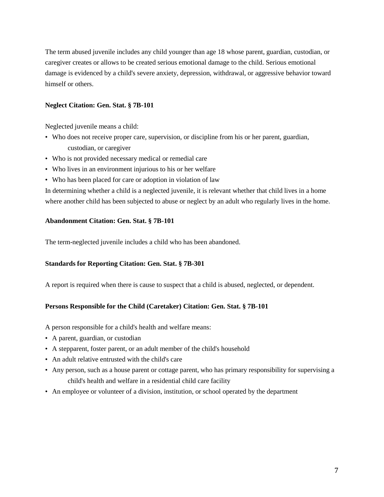The term abused juvenile includes any child younger than age 18 whose parent, guardian, custodian, or caregiver creates or allows to be created serious emotional damage to the child. Serious emotional damage is evidenced by a child's severe anxiety, depression, withdrawal, or aggressive behavior toward himself or others.

### **Neglect Citation: Gen. Stat. § 7B-101**

Neglected juvenile means a child:

- Who does not receive proper care, supervision, or discipline from his or her parent, guardian, custodian, or caregiver
- Who is not provided necessary medical or remedial care
- Who lives in an environment injurious to his or her welfare
- Who has been placed for care or adoption in violation of law

In determining whether a child is a neglected juvenile, it is relevant whether that child lives in a home where another child has been subjected to abuse or neglect by an adult who regularly lives in the home.

### **Abandonment Citation: Gen. Stat. § 7B-101**

The term-neglected juvenile includes a child who has been abandoned.

### **Standards for Reporting Citation: Gen. Stat. § 7B-301**

A report is required when there is cause to suspect that a child is abused, neglected, or dependent.

### **Persons Responsible for the Child (Caretaker) Citation: Gen. Stat. § 7B-101**

A person responsible for a child's health and welfare means:

- A parent, guardian, or custodian
- A stepparent, foster parent, or an adult member of the child's household
- An adult relative entrusted with the child's care
- Any person, such as a house parent or cottage parent, who has primary responsibility for supervising a child's health and welfare in a residential child care facility
- An employee or volunteer of a division, institution, or school operated by the department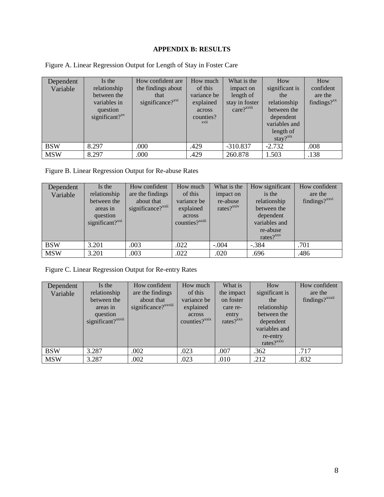# **APPENDIX B: RESULTS**

| Dependent<br>Variable | Is the<br>relationship<br>between the<br>variables in<br>question<br>significant? $x^{\text{sv}}$ | How confident are.<br>the findings about<br>that<br>significance? <sup>xvi</sup> | How much<br>of this<br>variance be<br>explained<br>across<br>counties?<br>xvii | What is the<br>impact on<br>length of<br>stay in foster<br>care? <sup>xviii</sup> | How<br>significant is<br>the<br>relationship<br>between the<br>dependent<br>variables and<br>length of<br>$stay?$ <sup>xix</sup> | How<br>confident<br>are the<br>findings? $x^{\text{xx}}$ |
|-----------------------|---------------------------------------------------------------------------------------------------|----------------------------------------------------------------------------------|--------------------------------------------------------------------------------|-----------------------------------------------------------------------------------|----------------------------------------------------------------------------------------------------------------------------------|----------------------------------------------------------|
| <b>BSW</b>            | 8.297                                                                                             | .000                                                                             | .429                                                                           | $-310.837$                                                                        | $-2.732$                                                                                                                         | .008                                                     |
| <b>MSW</b>            | 8.297                                                                                             | .000                                                                             | .429                                                                           | 260.878                                                                           | 1.503                                                                                                                            | .138                                                     |

Figure A. Linear Regression Output for Length of Stay in Foster Care

Figure B. Linear Regression Output for Re-abuse Rates

| Variable   | relationship<br>between the<br>areas in<br>question<br>significant? <sup>xxi</sup> | are the findings<br>about that<br>significance? <sup>xxii</sup> | of this<br>variance be<br>explained<br>across<br>counties? <sup>xxiii</sup> | impact on<br>re-abuse<br>rates? <sup>xxiv</sup> | is the<br>relationship<br>between the<br>dependent<br>variables and<br>re-abuse<br>rates? $x^{xx}$ | are the<br>findings? $x$ <sub>xxvi</sub> |
|------------|------------------------------------------------------------------------------------|-----------------------------------------------------------------|-----------------------------------------------------------------------------|-------------------------------------------------|----------------------------------------------------------------------------------------------------|------------------------------------------|
| <b>BSW</b> | 3.201                                                                              | .003                                                            | .022                                                                        | $-.004$                                         | $-.384$                                                                                            | .701                                     |
| <b>MSW</b> | 3.201                                                                              | .003                                                            | .022                                                                        | .020                                            | .696                                                                                               | .486                                     |

Figure C. Linear Regression Output for Re-entry Rates

| Dependent  | Is the                        | How confident                   | How much           | What is          | How               | How confident              |
|------------|-------------------------------|---------------------------------|--------------------|------------------|-------------------|----------------------------|
| Variable   | relationship                  | are the findings                | of this            | the impact       | significant is    | are the                    |
|            | between the                   | about that                      | variance be        | on foster        | the               | findings? <sup>xxxii</sup> |
|            | areas in                      | significance? <sup>xxviii</sup> | explained          | care re-         | relationship      |                            |
|            | question                      |                                 | across             | entry            | between the       |                            |
|            | significant? <sup>xxvii</sup> |                                 | counties? $x^{xx}$ | rates? $x^{xxx}$ | dependent         |                            |
|            |                               |                                 |                    |                  | variables and     |                            |
|            |                               |                                 |                    |                  | re-entry          |                            |
|            |                               |                                 |                    |                  | rates? $x^{xxxi}$ |                            |
| <b>BSW</b> | 3.287                         | .002                            | .023               | .007             | .362              | .717                       |
| <b>MSW</b> | 3.287                         | .002                            | .023               | .010             | .212              | .832                       |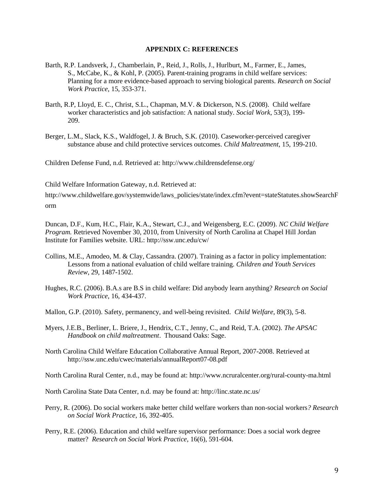#### **APPENDIX C: REFERENCES**

- Barth, R.P. Landsverk, J., Chamberlain, P., Reid, J., Rolls, J., Hurlburt, M., Farmer, E., James, S., McCabe, K., & Kohl, P. (2005). Parent-training programs in child welfare services: Planning for a more evidence-based approach to serving biological parents. *Research on Social Work Practice*, 15, 353-371.
- Barth, R.P, Lloyd, E. C., Christ, S.L., Chapman, M.V. & Dickerson, N.S. (2008). Child welfare worker characteristics and job satisfaction: A national study. *Social Work*, 53(3), 199- 209.
- Berger, L.M., Slack, K.S., Waldfogel, J. & Bruch, S.K. (2010). Caseworker-perceived caregiver substance abuse and child protective services outcomes. *Child Maltreatment*, 15, 199-210.

Children Defense Fund, n.d. Retrieved at[: http://www.childrensdefense.org/](http://www.childrensdefense.org/)

Child Welfare Information Gateway, n.d. Retrieved at:

[http://www.childwelfare.gov/systemwide/laws\\_policies/state/index.cfm?event=stateStatutes.showSearchF](http://www.childwelfare.gov/systemwide/laws_policies/state/index.cfm?event=stateStatutes.showSearchForm) [orm](http://www.childwelfare.gov/systemwide/laws_policies/state/index.cfm?event=stateStatutes.showSearchForm)

Duncan, D.F., Kum, H.C., Flair, K.A., Stewart, C.J., and Weigensberg, E.C. (2009). *NC Child Welfare Program.* Retrieved November 30, 2010, from University of North Carolina at Chapel Hill Jordan Institute for Families website. URL:<http://ssw.unc.edu/cw/>

- Collins, M.E., Amodeo, M. & Clay, Cassandra. (2007). Training as a factor in policy implementation: Lessons from a national evaluation of child welfare training. *Children and Youth Services Review*, 29, 1487-1502.
- Hughes, R.C. (2006). B.A.s are B.S in child welfare: Did anybody learn anything? *Research on Social Work Practice*, 16, 434-437.
- Mallon, G.P. (2010). Safety, permanency, and well-being revisited. *Child Welfare*, 89(3), 5-8.
- Myers, J.E.B., Berliner, L. Briere, J., Hendrix, C.T., Jenny, C., and Reid, T.A. (2002). *The APSAC Handbook on child maltreatment*. Thousand Oaks: Sage.
- North Carolina Child Welfare Education Collaborative Annual Report, 2007-2008. Retrieved at <http://ssw.unc.edu/cwec/materials/annualReport07-08.pdf>

North Carolina Rural Center, n.d., may be found at: [http://www.ncruralcenter.org/rural-county-ma.html](https://webmail3.isis.unc.edu/mail/services/go.php?url=http%3A%2F%2Fwww.ncruralcenter.org%2Frural-county-ma.html)

North Carolina State Data Center, n.d. may be found at:<http://linc.state.nc.us/>

- Perry, R. (2006). Do social workers make better child welfare workers than non-social workers*? Research on Social Work Practice*, 16, 392-405.
- Perry, R.E. (2006). Education and child welfare supervisor performance: Does a social work degree matter? *Research on Social Work Practice*, 16(6), 591-604.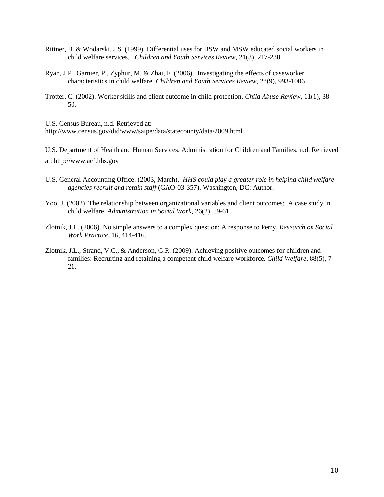- Rittner, B. & Wodarski, J.S. (1999). Differential uses for BSW and MSW educated social workers in child welfare services. *Children and Youth Services Review*, 21(3), 217-238.
- Ryan, J.P., Garnier, P., Zyphur, M. & Zhai, F. (2006). Investigating the effects of caseworker characteristics in child welfare. *Children and Youth Services Review*, 28(9), 993-1006.
- Trotter, C. (2002). Worker skills and client outcome in child protection. *Child Abuse Review*, 11(1), 38- 50.

U.S. Census Bureau, n.d. Retrieved at: <http://www.census.gov/did/www/saipe/data/statecounty/data/2009.html>

U.S. Department of Health and Human Services, Administration for Children and Families, n.d. Retrieved at[: http://www.acf.hhs.gov](http://www.acf.hhs.gov/)

- U.S. General Accounting Office. (2003, March). *HHS could play a greater role in helping child welfare agencies recruit and retain staff* (GAO-03-357). Washington, DC: Author.
- Yoo, J. (2002). The relationship between organizational variables and client outcomes: A case study in child welfare. *Administration in Social Work*, 26(2), 39-61.
- Zlotnik, J.L. (2006). No simple answers to a complex question: A response to Perry. *Research on Social Work Practice*, 16, 414-416.
- Zlotnik, J.L., Strand, V.C., & Anderson, G.R. (2009). Achieving positive outcomes for children and families: Recruiting and retaining a competent child welfare workforce. *Child Welfare*, 88(5), 7- 21.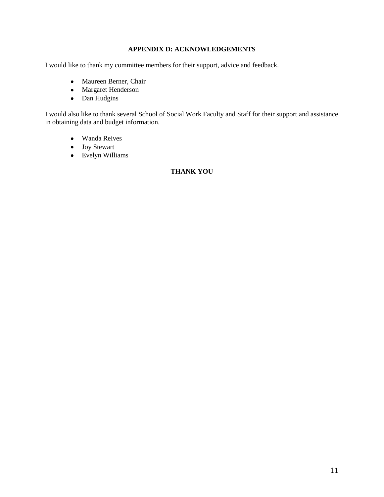## **APPENDIX D: ACKNOWLEDGEMENTS**

I would like to thank my committee members for their support, advice and feedback.

- Maureen Berner, Chair
- Margaret Henderson
- Dan Hudgins

I would also like to thank several School of Social Work Faculty and Staff for their support and assistance in obtaining data and budget information.

- Wanda Reives
- Joy Stewart
- Evelyn Williams

### **THANK YOU**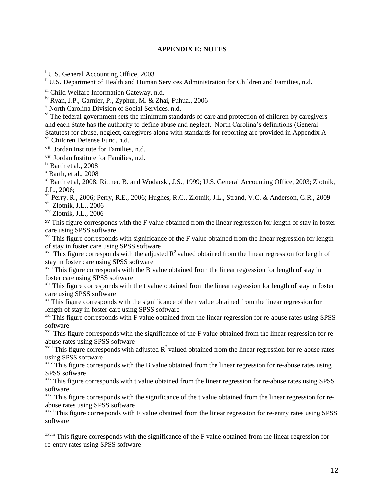#### **APPENDIX E: NOTES**

<sup>v</sup> North Carolina Division of Social Services, n.d.

<sup>vi</sup> The federal government sets the minimum standards of care and protection of children by caregivers and each State has the authority to define abuse and neglect. North Carolina's definitions (General Statutes) for abuse, neglect, caregivers along with standards for reporting are provided in Appendix A <sup>vii</sup> Children Defense Fund, n.d.

viii Jordan Institute for Families, n.d.

viii Jordan Institute for Families, n.d.

<sup>ix</sup> Barth et al., 2008

l

 $x$  Barth, et al., 2008

xi Barth et al, 2008; Rittner, B. and Wodarski, J.S., 1999; U.S. General Accounting Office, 2003; Zlotnik, J.L., 2006;

xii Perry. R., 2006; Perry, R.E., 2006; Hughes, R.C., Zlotnik, J.L., Strand, V.C. & Anderson, G.R., 2009 xiii Zlotnik, J.L., 2006

xiv Zlotnik, J.L., 2006

<sup>xv</sup> This figure corresponds with the F value obtained from the linear regression for length of stay in foster care using SPSS software

<sup>xvi</sup> This figure corresponds with significance of the F value obtained from the linear regression for length of stay in foster care using SPSS software

<sup>xvii</sup> This figure corresponds with the adjusted  $R^2$  valued obtained from the linear regression for length of stay in foster care using SPSS software

<sup>xviii</sup> This figure corresponds with the B value obtained from the linear regression for length of stay in foster care using SPSS software

<sup>xix</sup> This figure corresponds with the t value obtained from the linear regression for length of stay in foster care using SPSS software

<sup>xx</sup> This figure corresponds with the significance of the t value obtained from the linear regression for length of stay in foster care using SPSS software

<sup>xxi</sup> This figure corresponds with F value obtained from the linear regression for re-abuse rates using SPSS software

<sup>xxii</sup> This figure corresponds with the significance of the F value obtained from the linear regression for reabuse rates using SPSS software

<sup>xxiii</sup> This figure corresponds with adjusted  $R^2$  valued obtained from the linear regression for re-abuse rates using SPSS software

<sup>xxiv</sup> This figure corresponds with the B value obtained from the linear regression for re-abuse rates using SPSS software

xxv This figure corresponds with t value obtained from the linear regression for re-abuse rates using SPSS software

<sup>xxvi</sup> This figure corresponds with the significance of the t value obtained from the linear regression for reabuse rates using SPSS software

<sup>xxvii</sup> This figure corresponds with F value obtained from the linear regression for re-entry rates using SPSS software

xxviii This figure corresponds with the significance of the F value obtained from the linear regression for re-entry rates using SPSS software

<sup>&</sup>lt;sup>i</sup> U.S. General Accounting Office, 2003

ii U.S. Department of Health and Human Services Administration for Children and Families, n.d.

iii Child Welfare Information Gateway, n.d.

iv Ryan, J.P., Garnier, P., Zyphur, M. & Zhai, Fuhua., 2006